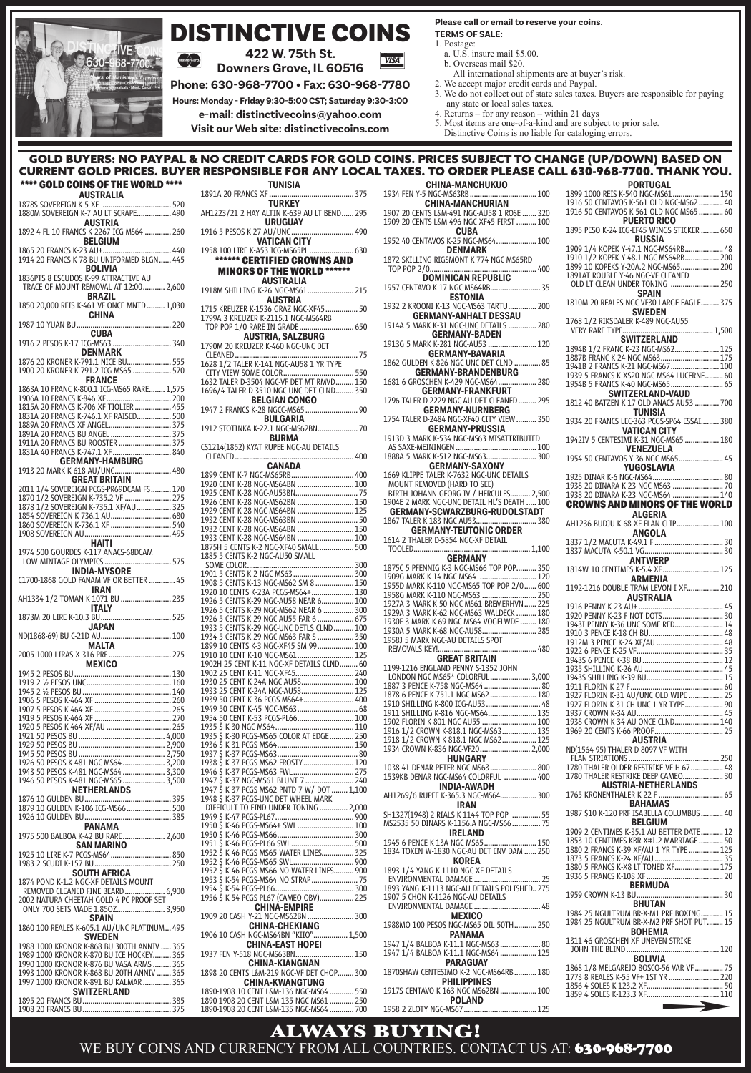

## DISTINCTIVE COINS

**422 W. 75th St.**

**Downers Grove, IL 60516**

**Phone: 630-968-7700 • Fax: 630-968-7780 Hours: Monday - Friday 9:30-5:00 CST; Saturday 9:30-3:00**

**VISA** 

**e-mail: distinctivecoins@yahoo.com**

**Visit our Web site: distinctivecoins.com**

#### **Please call or email to reserve your coins. TERMS OF SALE:**

- 1. Postage:
- a. U.S. insure mail \$5.00.
- b. Overseas mail \$20. All international shipments are at buyer's risk.
- 2. We accept major credit cards and Paypal. 3. We do not collect out of state sales taxes. Buyers are responsible for paying any state or local sales taxes.

- 4. Returns for any reason within 21 days
- 
- 5. Most items are one-of-a-kind and are subject to prior sale. Distinctive Coins is no liable for cataloging errors.

#### GOLD BUYERS: NO PAYPAL & NO CREDIT CARDS FOR GOLD COINS. PRICES SUBJECT TO CHANGE (UP/DOWN) BASED ON<br>URRENT GOLD PRICES. BUYER RESPONSIBLE FOR ANY LOCAL TAXES. TO ORDER PLEASE CALL 630-968-7700. THANK YOU. CURRENT GOLD PRICES. BUYER RESPONSIBLE FOR ANY LOCAL **PORTUGAL**

| **** GOLD COINS OF THE WORLD ****                                                                                                                                                                                                            |
|----------------------------------------------------------------------------------------------------------------------------------------------------------------------------------------------------------------------------------------------|
| <b>AUSTRALIA</b>                                                                                                                                                                                                                             |
| 1880M SOVEREIGN K-7 AU LT SCRAPE  490                                                                                                                                                                                                        |
| <b>AUSTRIA</b><br>1892 4 FL 10 FRANCS K-2267 ICG-MS64  260                                                                                                                                                                                   |
| <b>BELGIUM</b>                                                                                                                                                                                                                               |
| BOLIVIA                                                                                                                                                                                                                                      |
| 1836PTS 8 ESCUDOS K-99 ATTRACTIVE AU<br>TRACE OF MOUNT REMOVAL AT 12:00 2,600                                                                                                                                                                |
| <b>BRAZIL</b><br>1850 20,000 REIS K-461 VF ONCE MNTD  1,030                                                                                                                                                                                  |
|                                                                                                                                                                                                                                              |
| <b>CUBA</b>                                                                                                                                                                                                                                  |
| 1876 20 KRONER K-791.1 NICE BU  555<br>1900 20 KRONER K-791.2 ICG-MS65  570                                                                                                                                                                  |
| <b>FRANCE</b>                                                                                                                                                                                                                                |
| 1863A 10 FRANC K-800.1 ICG-MS65 RARE 1,575<br>1906A 10 FRANCS K-846 XF  200<br>1815A 20 FRANCS K-706 XF TIOLIER  455                                                                                                                         |
|                                                                                                                                                                                                                                              |
|                                                                                                                                                                                                                                              |
| 1891A 20 FRANCS BU ANGEL  375                                                                                                                                                                                                                |
| 1911A 20 FRANCS BU ROOSTER  375<br>1831A 40 FRANCS K-747.1 XF  840                                                                                                                                                                           |
| <b>GERMANY-HAMBURG</b>                                                                                                                                                                                                                       |
|                                                                                                                                                                                                                                              |
| <b>2011 1/4 SOVEREIGN PCG-PROPORAN F5 170</b><br>1870 1/2 SOVEREIGN PCG-PROPORAN F5 275<br>1878 1/2 SOVEREIGN K-735.2 VF  275<br>1854 SOVEREIGN K-736.1 AU                                                                                   |
|                                                                                                                                                                                                                                              |
|                                                                                                                                                                                                                                              |
|                                                                                                                                                                                                                                              |
|                                                                                                                                                                                                                                              |
| <b>HAITI</b>                                                                                                                                                                                                                                 |
| 1974 500 GOURDES K-117 ANACS-68DCAM<br>LOW MINTAGE OLYMPICS  575                                                                                                                                                                             |
| INDIA-MYSORE                                                                                                                                                                                                                                 |
| C1700-1868 GOLD FANAM VF OR BETTER  45<br>IRAN                                                                                                                                                                                               |
| <b>ITALY</b>                                                                                                                                                                                                                                 |
|                                                                                                                                                                                                                                              |
| MALTA<br>2005 1000 LIRAS X-316 PRE                                                                                                                                                                                                           |
| MEXICO MEXICO                                                                                                                                                                                                                                |
|                                                                                                                                                                                                                                              |
|                                                                                                                                                                                                                                              |
| 1906 5 PESOS K-464 XF<br>1907 5 PESOS K-464 XF (1999) 7 PESOS K-464 XF<br>1919 5 PESOS K-464 XF (1999) 7 PESOS K-464 XF<br>1920 5 PESOS K-464 XF/AU (1999) 7 PESOS K-464 XF/AU (1999) 7 PESOS K-464 XF/AU (1999)                             |
|                                                                                                                                                                                                                                              |
|                                                                                                                                                                                                                                              |
| 1920 3 TESOS RU<br>1921 50 PESOS BU (1990)<br>1929 50 PESOS BU (1990)<br>1929 50 PESOS BU (1990)<br>1926 50 PESOS RU (1990)<br>1936 50 PESOS K-481 NGC-MS64 (1990)<br>1946 50 PESOS K-481 NGC-MS64 (1990)<br>1946 50 PESOS K-481 NGC-MS64 (1 |
|                                                                                                                                                                                                                                              |
|                                                                                                                                                                                                                                              |
|                                                                                                                                                                                                                                              |
|                                                                                                                                                                                                                                              |
|                                                                                                                                                                                                                                              |
| <b>NETHERLANDS</b>                                                                                                                                                                                                                           |
| 1879 10 GULDEN K-106 ICG-MS66  500                                                                                                                                                                                                           |
|                                                                                                                                                                                                                                              |
| <b>PANAMA</b>                                                                                                                                                                                                                                |
| SAN MARINO                                                                                                                                                                                                                                   |
| 1925 10 LIRE K-7 PCGS-MS64 850                                                                                                                                                                                                               |
| <b>SOUTH AFRICA</b><br>1874 POND K-1.2 NGC-XF DETAILS MOUNT                                                                                                                                                                                  |
| REMOVED CLEANED FINE BEARD<br>6.900                                                                                                                                                                                                          |
| 2002 NATURA CHEETAH GOLD 4 PC PROOF SET                                                                                                                                                                                                      |
| <b>SPAIN</b>                                                                                                                                                                                                                                 |
| 1860 100 REALES K-605.1 AU/UNC PLATINUM 495<br><b>SWEDEN</b>                                                                                                                                                                                 |
| 1988 1000 KRONOR K-868 BU 300TH ANNIV  365                                                                                                                                                                                                   |
| 1989 1000 KRONOR K-870 BU ICE HOCKEY  365                                                                                                                                                                                                    |
| 1990 1000 KRONOR K-876 BU VASA ARMS  365                                                                                                                                                                                                     |
| 1993 1000 KRONOR K-868 BU 20TH ANNIV  365                                                                                                                                                                                                    |
| 1997 1000 KRONOR K-891 BU KALMAR  365                                                                                                                                                                                                        |
| <b>SWITZERLAND</b>                                                                                                                                                                                                                           |

1895 20 FRANCS BU ............................................ 385 1908 20 FRANCS BU ............................................ 375

| <b>TUNISIA</b>                                                                                                                                                                                                                                 |
|------------------------------------------------------------------------------------------------------------------------------------------------------------------------------------------------------------------------------------------------|
| 1891A 20 FRANCS XF<br><b>TURKEY</b> 375                                                                                                                                                                                                        |
| AH1223/21 2 HAY ALTIN K-639 AU LT BEND  295<br><b>URUGUAY</b>                                                                                                                                                                                  |
|                                                                                                                                                                                                                                                |
| ****** CERTIFIED CROWNS AND                                                                                                                                                                                                                    |
| <b>MINORS OF THE WORLD ******</b>                                                                                                                                                                                                              |
|                                                                                                                                                                                                                                                |
| <b>AUSTRIA</b><br>1715 KREUZER K-1536 GRAZ NGC-XF45  50                                                                                                                                                                                        |
|                                                                                                                                                                                                                                                |
| AUSTRIA, SALZBURG<br>1790M 20 KREUZER K-460 NGC-UNC DET                                                                                                                                                                                        |
| The CIRCLIC INTERNATION CONTROL CONTROL CONTROL CONTROL CONTROL CONTROL CONTROL CONTROL CONTROL CONTROL CONTROL CONTROL CONTROL CONTROL CONTROL CONTROL CONTROL CONTROL CONTROL CONTROL CONTROL CONTROL CONTROL CONTROL CONTRO                 |
|                                                                                                                                                                                                                                                |
| <b>BELGIAN CONGO</b>                                                                                                                                                                                                                           |
| 1947 2 FRANCS K-28 NGCC-MS65  90                                                                                                                                                                                                               |
|                                                                                                                                                                                                                                                |
| BURMA<br>CS1214(1852) KYAT RUPEE NGC-AU DETAILS                                                                                                                                                                                                |
| <b>CANADA</b>                                                                                                                                                                                                                                  |
| 2000 CINT K-7 NGC-M656780<br>1899 CENT K-7 NGC-M656780<br>1920 CENT K-28 NGC-M6568PN<br>1920 CENT K-28 NGC-M6564PN<br>1920 CENT K-28 NGC-M6564PN<br>1920 CENT K-28 NGC-M6564PN<br>1920 CENT K-28 NGC-M6564PN<br>1933 CENT K-28 NGC-M6564PN<br> |
|                                                                                                                                                                                                                                                |
|                                                                                                                                                                                                                                                |
|                                                                                                                                                                                                                                                |
|                                                                                                                                                                                                                                                |
|                                                                                                                                                                                                                                                |
|                                                                                                                                                                                                                                                |
|                                                                                                                                                                                                                                                |
|                                                                                                                                                                                                                                                |
|                                                                                                                                                                                                                                                |
|                                                                                                                                                                                                                                                |
|                                                                                                                                                                                                                                                |
|                                                                                                                                                                                                                                                |
|                                                                                                                                                                                                                                                |
|                                                                                                                                                                                                                                                |
|                                                                                                                                                                                                                                                |
|                                                                                                                                                                                                                                                |
|                                                                                                                                                                                                                                                |
|                                                                                                                                                                                                                                                |
|                                                                                                                                                                                                                                                |
|                                                                                                                                                                                                                                                |
|                                                                                                                                                                                                                                                |
|                                                                                                                                                                                                                                                |
|                                                                                                                                                                                                                                                |
|                                                                                                                                                                                                                                                |
|                                                                                                                                                                                                                                                |
|                                                                                                                                                                                                                                                |
|                                                                                                                                                                                                                                                |
| DIFFICULT TO FIND UNDER TONING  2,000                                                                                                                                                                                                          |
|                                                                                                                                                                                                                                                |
|                                                                                                                                                                                                                                                |
| 1952 \$ K-46 PCGS-MS65 WATER LINES 325                                                                                                                                                                                                         |
|                                                                                                                                                                                                                                                |
| 1952 \$ K-46 PCGS-MS66 NO WATER LINES 900                                                                                                                                                                                                      |
|                                                                                                                                                                                                                                                |
| 1956 \$ K-54 PCGS-PL67 (CAMEO OBV) 225                                                                                                                                                                                                         |
| <b>CHINA-EMPIRE</b><br>1909 20 CASH Y-21 NGC-MS62BN<br>300                                                                                                                                                                                     |
| CHINA-CHEKIANG<br>1906 10 CASH NGC-MS64BN "KIIO" 1,500                                                                                                                                                                                         |
| <b>CHINA-EAST HOPEI</b><br>1937 FEN Y-518 NGC-MS63BN 150                                                                                                                                                                                       |
| <b>CHINA-KIANGNAN</b><br>1898 20 CENTS L&M-219 NGC-VF DET CHOP 300                                                                                                                                                                             |
| <b>CHINA-KWANGTUNG</b>                                                                                                                                                                                                                         |
| 1890-1908 20 CENT L&M-135 NGC-MS61  250                                                                                                                                                                                                        |
|                                                                                                                                                                                                                                                |

| <b>TO ORDER</b><br>.EASE                                                                                                        |  |
|---------------------------------------------------------------------------------------------------------------------------------|--|
| CHINA-MANCHUKUO                                                                                                                 |  |
| 1934 FEN Y-5 NGC-MS63RB  100<br><b>CHINA-MANCHURIAN</b>                                                                         |  |
| 1907 20 CENTS L&M-491 NGC-AU58 1 ROSE  320                                                                                      |  |
| 1909 20 CENTS L&M-496 NGC-XF45 FIRST  100                                                                                       |  |
| <b>CUBA</b><br>1952 40 CENTAVOS K-25 NGC-MS64 100                                                                               |  |
| <b>DENMARK</b>                                                                                                                  |  |
| 1872 SKILLING RIGSMONT K-774 NGC-MS65RD                                                                                         |  |
|                                                                                                                                 |  |
| DOMINICAN REPUBLIC<br>1957 CENTAVO K-17 NGC-MS64RB 35                                                                           |  |
| <b>ESTONIA</b>                                                                                                                  |  |
| 1932 2 KROONI K-13 NGC-MS63 TARTU 200                                                                                           |  |
| <b>GERMANY-ANHALT DESSAU</b><br>1914A 5 MARK K-31 NGC-UNC DETAILS  280                                                          |  |
| <b>GERMANY-BADEN</b>                                                                                                            |  |
| <b>GENMAN I-БАЛЕН</b><br>1913G 5 MARK K-281 NGC-AU53  120                                                                       |  |
| GERMANY-BAVARIA<br>1862 GULDEN K-826 NGC-UNC DET CLND  85                                                                       |  |
| <b>GERMANY-BRANDENBURG</b>                                                                                                      |  |
| 1681 6 GROSCHEN K-429 NGC-MS64 280                                                                                              |  |
| <b>GERMANY-FRANKFURT</b>                                                                                                        |  |
| 1796 TALER D-2229 NGC-AU DET CLEANED  295<br><b>GERMANY-NURNBERG</b>                                                            |  |
| 1754 TALER D-2484 NGC-XF40 CITY VIEW  350                                                                                       |  |
| <b>GERMANY-PRUSSIA</b>                                                                                                          |  |
| 1913D 3 MARK K-534 NGC-MS63 MISATTRIBUTED                                                                                       |  |
|                                                                                                                                 |  |
| <b>GERMANY-SAXONY</b>                                                                                                           |  |
| 1669 KLIPPE TALER K-7632 NGC-UNC DETAILS<br>MOUNT REMOVED (HARD TO SEE)                                                         |  |
|                                                                                                                                 |  |
| <b>BIRTH JOHANN GEORG IV / HERCULES 2,500<br/>1904E 2 MARK NGC-UNC DETAIL HL'S DEATH  100<br/>GERMANY-SCWARZBURG-RUDOLSTADT</b> |  |
|                                                                                                                                 |  |
| 1867 TALER K-183 NGC-AU53 380<br><b>GERMANY-TEUTONIC ORDER</b>                                                                  |  |
| 1614 2 THALER D-5854 NGC-XF DETAIL                                                                                              |  |
| TOOLED<br>1,100                                                                                                                 |  |
|                                                                                                                                 |  |
|                                                                                                                                 |  |
|                                                                                                                                 |  |
|                                                                                                                                 |  |
| 1927A 3 MARK K-50 NGC-MS61 BREMERHVN  225                                                                                       |  |
| 1929A 3 MARK K-62 NGC-MS63 WALDECK  180<br>1930F 3 MARK K-69 NGC-MS64 VOGELWDE  180                                             |  |
| 1930A 5 MARK K-68 NGC-AU58 285                                                                                                  |  |
| 1958J 5 MARK NGC-AU DETAILS SPOT<br>REMOVALS KEY!<br>480                                                                        |  |
| <b>GREAT BRITAIN</b>                                                                                                            |  |
| 1199-1216 ENGLAND PENNY S-1352 JOHN                                                                                             |  |
| LONDON NGC-MS65* COLORFUL 3,000                                                                                                 |  |
|                                                                                                                                 |  |
|                                                                                                                                 |  |
| 1911 SHILLING K-816 NGC-MS64 135                                                                                                |  |
|                                                                                                                                 |  |
|                                                                                                                                 |  |
|                                                                                                                                 |  |
| HUNGARY<br>1038-41 DENAR PETER NGC-MS63 800                                                                                     |  |
| 1539KB DENAR NGC-MS64 COLORFUL  400                                                                                             |  |
| INDIA-AWADH                                                                                                                     |  |
| AH1269/6 RUPEE K-365.3 NGC-MS64 300<br>IRAN                                                                                     |  |
| SH1327(1948) 2 RIALS K-1144 TOP POP  55                                                                                         |  |
| MS2535 50 DINARS K-1156.A NGC-MS66  75                                                                                          |  |
| <b>IRELAND</b>                                                                                                                  |  |
| 1834 TOKEN W-1830 NGC-AU DET ENV DAM  250                                                                                       |  |
| KOREA                                                                                                                           |  |
| 1893 1/4 YANG K-1110 NGC-XF DETAILS                                                                                             |  |
| 1893 YANG K-1113 NGC-AU DETAILS POLISHED 275                                                                                    |  |
| 1907 5 CHON K-1126 NGC-AU DETAILS                                                                                               |  |
| ENVIRONMENTAL DAMAGE  48                                                                                                        |  |
| <b>MEXICO</b><br>1988MO 100 PESOS NGC-MS65 OIL 50TH  250                                                                        |  |
| <b>PANAMA</b>                                                                                                                   |  |
| 1947 1/4 BALBOA K-11.1 NGC-MS63  80                                                                                             |  |
| 1947 1/4 BALBOA K-11.1 NGC-MS64  125                                                                                            |  |
| <b>PARAGUAY</b><br>1870SHAW CENTESIMO K-2 NGC-MS64RB  180                                                                       |  |
| <b>PHILIPPINES</b>                                                                                                              |  |
| 1917S CENTAVO K-163 NGC-MS62BN  100                                                                                             |  |
| <b>POLAND</b>                                                                                                                   |  |
|                                                                                                                                 |  |

| 1899 1000 REIS K-540 NGC-MS61 150<br>1916 50 CENTAVOS K-561 OLD NGC-MS62  40<br>1916 50 CENTAVOS K-561 OLD NGC-MS65  60                                                                                                                                                                                                                                       |
|---------------------------------------------------------------------------------------------------------------------------------------------------------------------------------------------------------------------------------------------------------------------------------------------------------------------------------------------------------------|
| <b>PUERTO RICO</b><br>1895 PESO K-24 ICG-EF45 WINGS STICKER  650<br><b>RUSSIA</b>                                                                                                                                                                                                                                                                             |
| 1909 1/4 KOPEK Y-47.1 NGC-MS64RB 48                                                                                                                                                                                                                                                                                                                           |
| <b>SPAIN</b><br>1810M 20 REALES NGC-VF30 LARGE EAGLE  375<br><b>SWEDEN</b>                                                                                                                                                                                                                                                                                    |
| 1768 1/2 RIKSDALER K-489 NGC-AU55<br>1,500<br>VERY RARE TYPE                                                                                                                                                                                                                                                                                                  |
| 1887B FRANC K-24 NGC-MS63 175<br>1941B 2 FRANCS K-21 NGC-MS67 100<br>1939 5 FRANCS K-XS20 NGC-MS64 LUCERNE 60<br>1954B 5 FRANCS K-40 NGC-MS65 65<br>SWITZERLAND-VAUD<br>1812 40 BATZEN K-17 OLD ANACS AU53  700<br><b>TUNISIA</b><br>1934 20 FRANCS LEC-363 PCGS-SP64 ESSAI  380<br>VATICAN CITY<br>1942IV 5 CENTESIMI K-31 NGC-MS65  180<br><b>VENEZUELA</b> |
|                                                                                                                                                                                                                                                                                                                                                               |
| <b>CROWNS AND MINORS OF THE WORLD</b><br><b>ALGERIA</b>                                                                                                                                                                                                                                                                                                       |
| AH1236 BUDJU K-68 XF FLAN CLIP 100                                                                                                                                                                                                                                                                                                                            |
| 1837 MACUTA K-50.1 VG                                                                                                                                                                                                                                                                                                                                         |
| <b>ANTWERP</b><br>1814W 10 CENTIMES K-5.4 XF  125                                                                                                                                                                                                                                                                                                             |
| ARMENIA<br>1192-1216 DOUBLE TRAM LEVON I XF 210<br><b>AUSTRALIA</b>                                                                                                                                                                                                                                                                                           |
|                                                                                                                                                                                                                                                                                                                                                               |
| 1943I PENNY K-36 UNC SOME RED 14                                                                                                                                                                                                                                                                                                                              |
| 1912M 3 PENCE K-24 XF/AU  48                                                                                                                                                                                                                                                                                                                                  |
|                                                                                                                                                                                                                                                                                                                                                               |
|                                                                                                                                                                                                                                                                                                                                                               |
|                                                                                                                                                                                                                                                                                                                                                               |
|                                                                                                                                                                                                                                                                                                                                                               |
| 1927 FLORIN K-31 CH UNC 1 YR TYPE 90                                                                                                                                                                                                                                                                                                                          |
| 1938 CROWN K-34 AU ONCE CLND 140                                                                                                                                                                                                                                                                                                                              |
| AUSTRIA                                                                                                                                                                                                                                                                                                                                                       |
| ND(1564-95) THALER D-8097 VF WITH                                                                                                                                                                                                                                                                                                                             |
| 1780 THALER OLDER RESTRIKE VF H-67  48<br>1780 THALER RESTRIKE DEEP CAMEO  30                                                                                                                                                                                                                                                                                 |
| <b>AUSTRIA-NETHERLANDS</b><br>1765 KRONENTHALER K-22 F                                                                                                                                                                                                                                                                                                        |
|                                                                                                                                                                                                                                                                                                                                                               |
| <b>BAHAMAS</b><br>1987 \$10 K-120 PRF ISABELLA COLUMBUS  40                                                                                                                                                                                                                                                                                                   |
| <b>BELGIUM</b>                                                                                                                                                                                                                                                                                                                                                |
|                                                                                                                                                                                                                                                                                                                                                               |
| 1909 2 CENTIMES K-35.1 AU BETTER DATE 12<br>1853 10 CENTIMES KBR-X#1.2 MARRIAGE  50<br>1880 2 FRANCS K-39 XF/AU 1 YR TYPE  125                                                                                                                                                                                                                                |
|                                                                                                                                                                                                                                                                                                                                                               |
| BERMUDA                                                                                                                                                                                                                                                                                                                                                       |
| <b>BHUTAN</b>                                                                                                                                                                                                                                                                                                                                                 |
| 1984 25 NGULTRUM BR-X-M1 PRF BOXING 15<br>1984 25 NGULTRUM BR-X-M2 PRF SHOT PUT 15<br><b>BOHEMIA</b>                                                                                                                                                                                                                                                          |
| 1311-46 GROSCHEN XF UNEVEN STRIKE                                                                                                                                                                                                                                                                                                                             |
| <b>BOLIVIA</b>                                                                                                                                                                                                                                                                                                                                                |
|                                                                                                                                                                                                                                                                                                                                                               |
|                                                                                                                                                                                                                                                                                                                                                               |
| $\longrightarrow$                                                                                                                                                                                                                                                                                                                                             |

ALWAYS BUYING! WE BUY COINS AND CURRENCY FROM ALL COUNTRIES. CONTACT US AT: 630-968-7700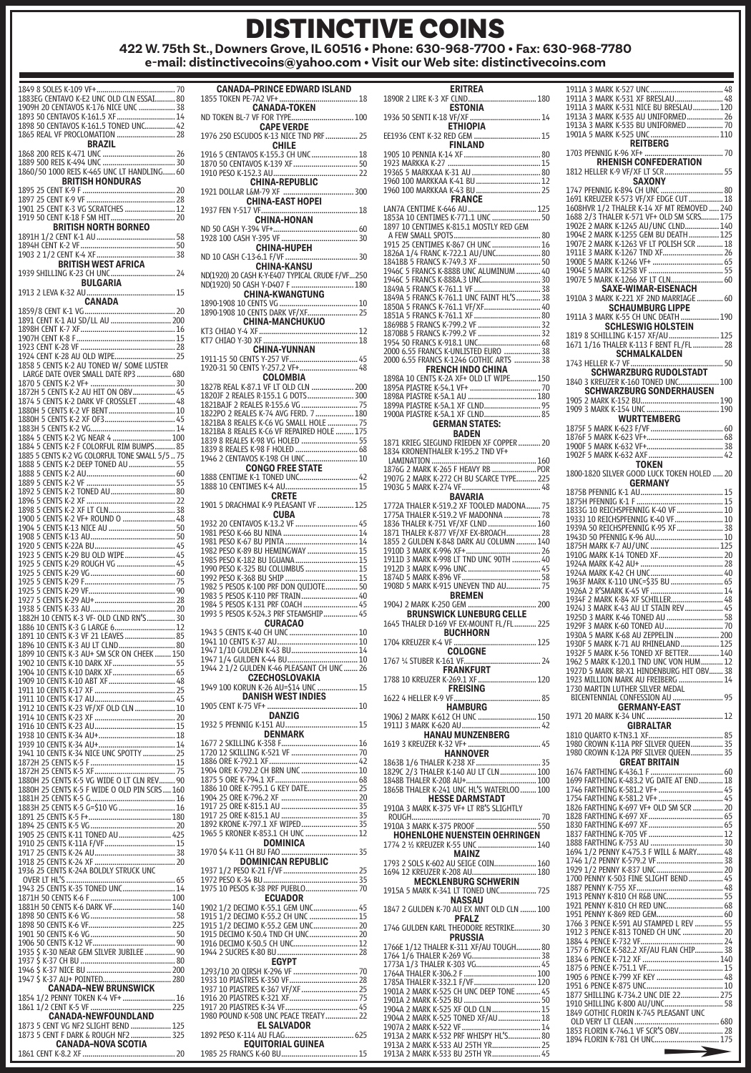### DISTINCTIVE COINS **422 W. 75th St., Downers Grove, IL 60516 • Phone: 630-968-7700 • Fax: 630-968-7780 e-mail: distinctivecoins@yahoo.com • Visit our Web site: distinctivecoins.com**

1849 8 SOLES K-109 VF+ ....................................... 70 1883EG CENTAVO K-E2 UNC OLD CLN ESSAI .......... 80<br>1909H 20 CENTAVOS K-176 NICE UNC ................... 38 1909H 20 CENTAVOS K-176 NICE UNC .................. 38 1893 50 CENTAVOS K-161.5 XF ............................. 14 1898 50 CENTAVOS K-161.5 TONED UNC............... 42 1865 REAL VF PROCLOMATION ... **BRAZIL** 1868 200 REIS K-471 UNC .................................... 26 1889 500 REIS K-494 UNC .................................... 30 1860/50 1000 REIS K-465 UNC LT HANDLING ...... 60 **BRITISH HONDURAS** 1895 25 CENT K-9 F .............................................. 20 1897 25 CENT K-9 VF ............................................ 28 1901 25 CENT K-3 VG SCRATCHES ......................... 12 1919 50 CENT K-18 F SM HIT ................................ 20 **BRITISH NORTH BORNEO** 1891H 1/2 CENT K-1 AU ....................................... 58 1894H CENT K-2 VF ............................................... 50 1903 2 1/2 CENT K-4 XF ....................................... 38 **BRITISH WEST AFRICA** 1939 SHILLING K-23 CH UNC ................................ 24 **BULGARIA** 1913 2 LEVA K-32 AU ............................................ 15 **CANADA** 1859/8 CENT K-1 VG ............................................. 20 1891 CENT K-1 AU SD/LL AU .............................. 200 1898H CENT K-7 XF ............................................... 16 1907H CENT K-8 F ................................................. 15 1923 CENT K-28 VF ............................................... 28 1924 CENT K-28 AU OLD WIPE................................. 25<br>1858 5 CENTS K-2 AU TONED W/ SOME LUSTER LARGE DATE OVER SMALL DATE RP3 ................. 680 1870 5 CENTS K-2 VF+ .......................................... 30 1872H 5 CENTS K-2 AU HIT ON OBV ..................... 45 1874 5 CENTS K-2 DARK VF CROSSLET .................. 48 1880H 5 CENTS K-2 VF BENT ................................. 10 1880H 5 CENTS K-2 XF OF3 ................................... 45 1883H 5 CENTS K-2 VG .......................................... 14 1884 5 CENTS K-2 VG NEAR 4 ............................. 100 1884 5 CENTS K-2 F COLORFUL RIM BUMPS .......... 85 1885 5 CENTS K-2 VG COLORFUL TONE SMALL 5/5 .. 75 1888 5 CENTS K-2 DEEP TONED AU ....................... 55 1888 5 CENTS K-2 AU ............................................ 60 1889 5 CENTS K-2 VF ............................................ 55 1892 5 CENTS K-2 TONED AU ................................ 80 1896 5 CENTS K-2 XF ............................................ 22 1898 5 CENTS K-2 XF LT CLN ................................. 38 1900 5 CENTS K-2 VF+ ROUND O .......................... 48 1904 5 CENTS K-13 NICE AU ................................. 50 1908 5 CENTS K-13 AU .......................................... 50 1920 5 CENTS K-22A BU ........................................ 45 1923 5 CENTS K-29 BU OLD WIPE ......................... 45 1925 5 CENTS K-29 ROUGH VG ............................. 45 1925 5 CENTS K-29 VG .......................................... 60 1925 5 CENTS K-29 F ............................................. 75 1925 5 CENTS K-29 VF ........................................... 90 1927 5 CENTS K-29 AU+ ........................................ 28 1938 5 CENTS K-33 AU .......................................... 20 1882H 10 CENTS K-3 VF- OLD CLND RN'S .............. 30 1886 10 CENTS K-3 G LARGE 6 .............................. 12 1891 10 CENTS K-3 VF 21 LEAVES ......................... 85 1896 10 CENTS K-3 AU LT CLND ............................ 80 1899 10 CENTS K-3 AU+ SM SCR ON CHEEK ........ 150<br>1899 10 CENTS K-3 AU+ SM SCR ON CHEEK ........ 150<br>1902 10 CENTS K-10 DARK XF.................................. 55 1902 10 CENTS K-10 DARK XF ............................... 55 1904 10 CENTS K-10 DARK XF ............................... 65 1909 10 CENTS K-10 ABT XF ................................. 48 1911 10 CENTS K-17 XF ........................................ 25 1911 10 CENTS K-17 AU ........................................ 45 1912 10 CENTS K-23 VF/XF OLD CLN .................... 10 1914 10 CENTS K-23 XF ........................................ 20 1916 10 CENTS K-23 AU ........................................ 15 1938 10 CENTS K-34 AU+ ...................................... 18 1939 10 CENTS K-34 AU+ ...................................... 14 1941 10 CENTS K-34 NICE UNC SPOTTY ................ 25 1872H 25 CENTS K-5 F .......................................... 15 1872H 25 CENTS K-5 XF ........................................ 75 1880H 25 CENTS K-5 VG WIDE O LT CLN REV ........ 90 1880H 25 CENTS K-5 F WIDE O OLD PIN SCRS .... 160 1881H 25 CENTS K-5 G .......................................... 16 1883H 25 CENTS K-5 G=\$10 VG ............................ 16 1891 25 CENTS K-5 F+ ......................................... 180 1894 25 CENTS K-5 VG .......................................... 20 1905 25 CENTS K-11 TONED AU .......................... 425 1910 25 CENTS K-11A F/VF ................................... 15 1917 25 CENTS K-24 AU ........................................ 38 1918 25 CENTS K-24 XF 1936 25 CENTS K-24A BOLDLY STRUCK UNC OVER LT HL'S ...................................................... 65 1943 25 CENTS K-35 TONED UNC .......................... 14 1871H 50 CENTS K-6 F ........................................ 100 1881H 50 CENTS K-6 DARK VE 1898 - 2001 - 2011 - 2012 - 2014 - 2024 - 2024 - 2024 - 2024 - 2024 - 2024 - 2024 - 2025 - 2025 - 20<br>1898 - 2025 - 2025 - 2025 - 2025 - 2025 - 2025 - 2025 - 2025 - 2025 - 2025 - 2025 - 2025 - 2026 - 2026 - 2025<br>1898 - 2025 1898 50 CENTS K-6 VF ......................................... 225 1901 50 CENTS K-6 VG .......................................... 50 1906 50 CENTS K-12 VF ......................................... 90 1935 \$ K-30 NEAR GEM SILVER JUBILEE ............... 90 1937 \$ K-37 CH BU ............................................... 80 1946 \$ K-37 NICE BU .......................................... 200 1947 \$ K-37 AU+ POINTED. **CANADA–NEW BRUNSWICK** 1854 1/2 PENNY TOKEN K-4 VF+ .......................... 16 1861 1/2 CENT K-5 VF. **CANADA-NEWFOUNDLAND** 1873 5 CENT VG NF2 SLIGHT BEND .................... 125 1873 5 CENT F DARK & ROUGH NF2 .................... 325 **CANADA–NOVA SCOTIA** 1861 CENT K-8.2 XF .............................................. 20

| <b>CANADA-PRINCE EDWARD ISLAND</b>                                                          |
|---------------------------------------------------------------------------------------------|
|                                                                                             |
| <b>CAPE VERDE</b>                                                                           |
| 1976 250 ESCUDOS K-13 NICE TND PRF  25<br><b>CHILE</b><br>1916 5 CENTAVOS K-155.3 CH UNC 18 |
| 1870 50 CENTAVOS K-139 XF<br>50                                                             |
| 1910 FESO N.1323 AU ANNO 1910<br>CHINA-REPUBLIC<br>1921 DOLLAR LAM-79 XF                    |
|                                                                                             |
| <b>CHINA-HONAN</b>                                                                          |
|                                                                                             |
| ND 10 CASH C-13-6.1 F/VF<br>30                                                              |
| CHINA-KANSU<br>ND(1920) 20 CASH K-Y-E407 TYPICAL CRUDE F/VF250                              |
| ND(1920) 50 CASH Y-D407 F  180<br>CHINA-KWANGTUNG                                           |
|                                                                                             |
| CHINA-MANCHUKUO                                                                             |
| <b>CHINA-YUNNAN</b><br>1911-15 50 CENTS Y-257 VF 45                                         |
| 1920-31 50 CENTS Y-257.2 VF+ 48                                                             |
| COLOMBIA<br>1827B REAL K-87.1 VF LT OLD CLN  200                                            |
| 1820JF 2 REALES R-155.1 G DOTS 300                                                          |
| 1821BAJF 2 REALES R-155.6 VG  75<br>1822PO 2 REALES K-74 AVG FERD. 7  180                   |
| 1821BA 8 REALES K-C6 VG SMALL HOLE  75<br>1821BA 8 REALES K-C6 VG SMALL HOLE  75            |
| 1839 8 REALES K-98 VG HOLED  55<br>1839 8 REALES K-98 F HOLED  68                           |
| 1946 2 CENTAVOS K-198 CH UNC  10<br><b>CONGO FREE STATE</b>                                 |
|                                                                                             |
| <b>CRETE</b><br>1901 5 DRACHMAI K-9 PLEASANT VF  125<br><b>CUBA</b>                         |
|                                                                                             |
|                                                                                             |
| 1982 PESO K-89 BU HEMINGWAY  15<br>1985 PESO K-182 BU IGUANA  15                            |
| 1990 PESO K-325 BU COLUMBUS  15                                                             |
|                                                                                             |
| 1983 5 PESOS K-110 PRF TRAIN 40                                                             |
| 1984 5 PESOS K-131 PRF COACH  45<br>1993 5 PESOS K-524.3 PRF STEAMSHIP 45                   |
| <b>CURACAO</b><br>1943 5 CENTS K-40 CH UNC  10                                              |
|                                                                                             |
| 1947 1/10 GULDEN K-43 BU 14                                                                 |
| 1944 2 1/2 GULDEN K-46 PLEASANT CH UNC  26                                                  |
| CZECHOSLOVAKIA<br>1949 100 KORUN K-26 AU=\$14 UNC  15<br><b>DANISH WEST INDIES</b>          |
| $\frac{1}{2}$<br>1905 CENT K-75 VF+<br>DANZIG                                               |
| 1932 5 PFENNIG K-151 AU<br>15<br><b>DENMARK</b>                                             |
|                                                                                             |
|                                                                                             |
| 1904 ORE K-792.2 CH BRN UNC  10                                                             |
|                                                                                             |
|                                                                                             |
|                                                                                             |
|                                                                                             |
| DOMINICA<br><b>DOMINICAN REPUBLIC</b>                                                       |
|                                                                                             |
|                                                                                             |
| <b>ECUADOR</b>                                                                              |
| 1902 1/2 DECIMO K-55.1 GEM UNC 45                                                           |
| 1915 1/2 DECIMO K-55.2 CH UNC  15<br>1915 1/2 DECIMO K-55.2 GEM UNC  20                     |
| 1915 DECIMO K-50.4 TND CH UNC 20<br>1916 DECIMO K-50.5 CH UNC 12                            |
|                                                                                             |
| <b>EGYPT</b><br>1293/10 20 QIRSH K-296 VF  70                                               |
|                                                                                             |
|                                                                                             |
|                                                                                             |
| <b>EL SALVADOR</b>                                                                          |
| 1892 PESO K-114 AU FLAG<br>625<br>EQUITORIAL GUINEA                                         |
|                                                                                             |

| <b>ERITREA</b><br>1890R 2 LIRE K-3 XF CLND 180                                                                                                                                                                                         | $1^{\circ}$<br>$1^{\circ}$     |
|----------------------------------------------------------------------------------------------------------------------------------------------------------------------------------------------------------------------------------------|--------------------------------|
| ESTONIA                                                                                                                                                                                                                                | $1^{\circ}$<br>$1^{\circ}$     |
| <b>ETHIOPIA</b><br>EE1936 CENT K-32 RED GEM  15                                                                                                                                                                                        | $1^{\circ}$<br>$1^{\circ}$     |
| <b>FINLAND</b>                                                                                                                                                                                                                         | $1^{\circ}$                    |
|                                                                                                                                                                                                                                        | 1                              |
| 1960 100 MARKKAA K-41 BU  12<br>1960 100 MARKKAA K-43 BU  25                                                                                                                                                                           | 1                              |
| <b>FRANCE</b>                                                                                                                                                                                                                          | 1 <sub>0</sub><br>$\mathbf{1}$ |
| 1897 10 CENTIMES K-815.1 MOSTLY RED GEM                                                                                                                                                                                                | $\frac{1}{1}$                  |
|                                                                                                                                                                                                                                        | $1^{\circ}$<br>$1^{\circ}$     |
|                                                                                                                                                                                                                                        | $\bar{1}$<br>$1^{\circ}$       |
|                                                                                                                                                                                                                                        | $1^{\circ}$<br>$1^{\circ}$     |
|                                                                                                                                                                                                                                        | $1^{\circ}$                    |
|                                                                                                                                                                                                                                        | $1^{\circ}$                    |
|                                                                                                                                                                                                                                        | $\mathbf{1}$                   |
| 2000 6.55 FRANCS K-UNLISTED EURO  38                                                                                                                                                                                                   | 1                              |
| 2000 6.55 FRANCS K-1246 GOTHIC ARTS  38<br><b>FRENCH INDO CHINA</b>                                                                                                                                                                    | $1^{\circ}$                    |
|                                                                                                                                                                                                                                        | $\mathbf{1}$                   |
|                                                                                                                                                                                                                                        | $\frac{1}{1}$                  |
| 1900A PIASTRE K-5A.1 XF CLND 85<br><b>GERMAN STATES:</b>                                                                                                                                                                               |                                |
| <b>BADEN</b><br>1871 KRIEG SIEGUND FRIEDEN XF COPPER  20                                                                                                                                                                               | 1:<br>1:                       |
| 1834 KRONENTHALER K-195.2 TND VF+                                                                                                                                                                                                      | $1^{\circ}$<br>$1^{\circ}$     |
|                                                                                                                                                                                                                                        | 1:                             |
|                                                                                                                                                                                                                                        | $\mathbf{1}$                   |
| BAVARIA<br>1772A THALER K-519.2 XF TOOLED MADONA  75                                                                                                                                                                                   | 1<br>$\mathbf{1}$              |
| 1775A THALER K-519.2 VF MADONNA  78                                                                                                                                                                                                    | $1^{\circ}$<br>$1^{\circ}$     |
| 1855 2 GULDEN K-848 DARK AU COLUMN  140                                                                                                                                                                                                | $1^{\circ}$                    |
|                                                                                                                                                                                                                                        | $\mathbf{1}$<br>$1^{\circ}$    |
| 1911D 3 MARK K-998 LT TND UNC 90TH  40                                                                                                                                                                                                 | $1^{\circ}$                    |
| 1908D 5 MARK K-915 UNEVEN TND AU  75                                                                                                                                                                                                   | $1^{\circ}$<br>$1^{\circ}$     |
| <b>BREMEN</b><br>1904J 2 MARK K-250 GEM                                                                                                                                                                                                | $1^{\circ}$<br>$1^{\circ}$     |
| <b>BRUNSWICK LUNEBURG CELLE</b><br>HALER D-169 VE EY MOUNE CELLE<br>1645 THALER D-169 VF EX-MOUNT FL/FL  225                                                                                                                           | $1^{\circ}$<br>$1^{\circ}$     |
| <b>BUCHHORN</b>                                                                                                                                                                                                                        | $1^{\circ}$<br>$1^{\circ}$     |
| <b>COLOGNE</b>                                                                                                                                                                                                                         | $1^{\circ}$<br>$1^{\circ}$     |
| 1767 1/4 STUBER K-161 VF.<br>24<br><b>FRANKFURT</b><br>1788 10 KREUZER K-269.1 XF  120                                                                                                                                                 | $1^{\circ}$<br>$1^{\circ}$     |
| <b>FREISING</b>                                                                                                                                                                                                                        | $1^{\circ}$<br>$\mathbf{1}$    |
| HAMBURG<br>1906J 2 MARK K-612 CH UNC  150                                                                                                                                                                                              | $1^{\circ}$                    |
| <b>HANAU MUNZENBERG</b>                                                                                                                                                                                                                | 1                              |
| <b>HANNOVER</b>                                                                                                                                                                                                                        | $1^{\prime}$<br>1'             |
|                                                                                                                                                                                                                                        | 1                              |
|                                                                                                                                                                                                                                        | 1                              |
|                                                                                                                                                                                                                                        | 1<br>1                         |
| 1910A 3 MARK K-375 VF+ LT RB'S SLIGHTLY                                                                                                                                                                                                | 1<br>1                         |
| HOHENLOHE NUENSTEIN OEHRINGEN                                                                                                                                                                                                          | 1<br>1                         |
| MAINZ                                                                                                                                                                                                                                  | 1<br>$1\,$                     |
| 1793 2 SOLS K-602 AU SEIGE COIN  160<br>1694 12 KREUZER K-208 AU 180                                                                                                                                                                   | 1<br>$1^{\circ}$               |
| <b>MECKLENBURG SCHWERIN</b><br>1915A 5 MARK K-341 LT TONED UNC 725                                                                                                                                                                     | 1<br>$\mathbf{1}$              |
| <b>NASSAU</b><br>1847 2 GULDEN K-70 AU EX MNT OLD CLN  100                                                                                                                                                                             | $1^{\circ}$<br>$1^{\circ}$     |
| <b>PFALZ</b><br>1746 GULDEN KARL THEODORE RESTRIKE  30                                                                                                                                                                                 | $1^{\circ}$<br>$1^{\circ}$     |
| <b>PRUSSIA</b>                                                                                                                                                                                                                         | $1^{\circ}$<br>$\mathbf{1}$    |
|                                                                                                                                                                                                                                        | 1<br>$\mathbf{1}$              |
|                                                                                                                                                                                                                                        | 1<br>$1^{\circ}$               |
|                                                                                                                                                                                                                                        | $1^{\circ}$                    |
|                                                                                                                                                                                                                                        | 1                              |
|                                                                                                                                                                                                                                        | $1^{\circ}$                    |
|                                                                                                                                                                                                                                        | $\mathbf{1}$                   |
|                                                                                                                                                                                                                                        | 1                              |
| <b>PRUSSIA PROPRIESIA</b><br>1766 1/12 THALER K-269 VG (1790) TOUGH (1794 1/6 THALER K-269 VG (1794 1/6 1794 1/784 1/6 THALER K-269 VG (1794 1794 1794 1794 1794 1794 1795 1794 1795 1795 1795 1796 1797 181 1797 1797 1797 1797 181 1 | 1                              |

| RHENISH CONFEDERATION                                                                                                                                                                                                               |  |
|-------------------------------------------------------------------------------------------------------------------------------------------------------------------------------------------------------------------------------------|--|
| 1812 HELLER K-9 VF/XF LT SCR  55                                                                                                                                                                                                    |  |
| <b>SAXONY</b>                                                                                                                                                                                                                       |  |
|                                                                                                                                                                                                                                     |  |
|                                                                                                                                                                                                                                     |  |
| 1608HVR 1/2 THALER K-14 XF MT REMOVED  240                                                                                                                                                                                          |  |
| 1688 2/3 THALER K-571 VF+ OLD SM SCRS 175                                                                                                                                                                                           |  |
| 1902E 2 MARK K-1245 AU/UNC CLND 140<br>1904E 2 MARK K-1255 GEM BU DEATH  125                                                                                                                                                        |  |
|                                                                                                                                                                                                                                     |  |
| 1907E 2 MARK K-1263 VF LT POLISH SCR  18                                                                                                                                                                                            |  |
|                                                                                                                                                                                                                                     |  |
|                                                                                                                                                                                                                                     |  |
|                                                                                                                                                                                                                                     |  |
|                                                                                                                                                                                                                                     |  |
|                                                                                                                                                                                                                                     |  |
|                                                                                                                                                                                                                                     |  |
|                                                                                                                                                                                                                                     |  |
|                                                                                                                                                                                                                                     |  |
|                                                                                                                                                                                                                                     |  |
|                                                                                                                                                                                                                                     |  |
| SCHMALKALDEN                                                                                                                                                                                                                        |  |
| 1743 HELLER K-7 VF                                                                                                                                                                                                                  |  |
| <b>SCHWARZBURG RUDOLSTADT</b> 50                                                                                                                                                                                                    |  |
| 1840 3 KREUZER K-160 TONED UNC  100                                                                                                                                                                                                 |  |
| <b>SCHWARZBURG SONDERHAUSEN</b>                                                                                                                                                                                                     |  |
| 1905                                                                                                                                                                                                                                |  |
|                                                                                                                                                                                                                                     |  |
|                                                                                                                                                                                                                                     |  |
|                                                                                                                                                                                                                                     |  |
|                                                                                                                                                                                                                                     |  |
|                                                                                                                                                                                                                                     |  |
|                                                                                                                                                                                                                                     |  |
| TOKEN                                                                                                                                                                                                                               |  |
| 1800-1820 SILVER GOOD LUCK TOKEN HOLED  20                                                                                                                                                                                          |  |
| GERMANY                                                                                                                                                                                                                             |  |
|                                                                                                                                                                                                                                     |  |
|                                                                                                                                                                                                                                     |  |
|                                                                                                                                                                                                                                     |  |
|                                                                                                                                                                                                                                     |  |
|                                                                                                                                                                                                                                     |  |
|                                                                                                                                                                                                                                     |  |
|                                                                                                                                                                                                                                     |  |
|                                                                                                                                                                                                                                     |  |
|                                                                                                                                                                                                                                     |  |
|                                                                                                                                                                                                                                     |  |
|                                                                                                                                                                                                                                     |  |
|                                                                                                                                                                                                                                     |  |
|                                                                                                                                                                                                                                     |  |
|                                                                                                                                                                                                                                     |  |
|                                                                                                                                                                                                                                     |  |
|                                                                                                                                                                                                                                     |  |
|                                                                                                                                                                                                                                     |  |
|                                                                                                                                                                                                                                     |  |
|                                                                                                                                                                                                                                     |  |
|                                                                                                                                                                                                                                     |  |
| 1939 A DRECH PERIBERG (1997 - 1997 - 1997 - 1998)<br>1939 A DRECH PINNIC K-95 XF - 1997 - 1997 A DRECH PINNIC K-96 AU<br>1875 H MARK K-7 AU/UNC - 1997 - 1997 - 1997 - 1997 - 1997 - 1997 - 1997 - 1997 - 1998 - 1998 - 1998 - 1998 |  |
| 1730 MARTIN LUTHER SILVER MEDAL<br>BICENTENNIAL CONFESSION AU  95                                                                                                                                                                   |  |
| <b>GERMANY-EAST</b>                                                                                                                                                                                                                 |  |
|                                                                                                                                                                                                                                     |  |
| GIBRALTAR                                                                                                                                                                                                                           |  |
|                                                                                                                                                                                                                                     |  |
|                                                                                                                                                                                                                                     |  |
| 1980 CROWN K-12A PRF SILVER QUEEN  35                                                                                                                                                                                               |  |
| <b>GREAT BRITAIN</b>                                                                                                                                                                                                                |  |
|                                                                                                                                                                                                                                     |  |
|                                                                                                                                                                                                                                     |  |
|                                                                                                                                                                                                                                     |  |
| 1826 FARTHING K-697 VF+ OLD SM SCR  20                                                                                                                                                                                              |  |
|                                                                                                                                                                                                                                     |  |
|                                                                                                                                                                                                                                     |  |
|                                                                                                                                                                                                                                     |  |
|                                                                                                                                                                                                                                     |  |
|                                                                                                                                                                                                                                     |  |
|                                                                                                                                                                                                                                     |  |
|                                                                                                                                                                                                                                     |  |
|                                                                                                                                                                                                                                     |  |
|                                                                                                                                                                                                                                     |  |
|                                                                                                                                                                                                                                     |  |
|                                                                                                                                                                                                                                     |  |
|                                                                                                                                                                                                                                     |  |
|                                                                                                                                                                                                                                     |  |
|                                                                                                                                                                                                                                     |  |
|                                                                                                                                                                                                                                     |  |
|                                                                                                                                                                                                                                     |  |
|                                                                                                                                                                                                                                     |  |
|                                                                                                                                                                                                                                     |  |
|                                                                                                                                                                                                                                     |  |
|                                                                                                                                                                                                                                     |  |
|                                                                                                                                                                                                                                     |  |
|                                                                                                                                                                                                                                     |  |
| .<br>1910 SHILLING K-800 AU/UNC 58<br>1849 GOTHIC FLORIN K-745 PLEASANT UNC                                                                                                                                                         |  |
|                                                                                                                                                                                                                                     |  |
|                                                                                                                                                                                                                                     |  |
| 1894 FLORIN K-781 CH UNC 175                                                                                                                                                                                                        |  |
| $\rightarrow$                                                                                                                                                                                                                       |  |
|                                                                                                                                                                                                                                     |  |